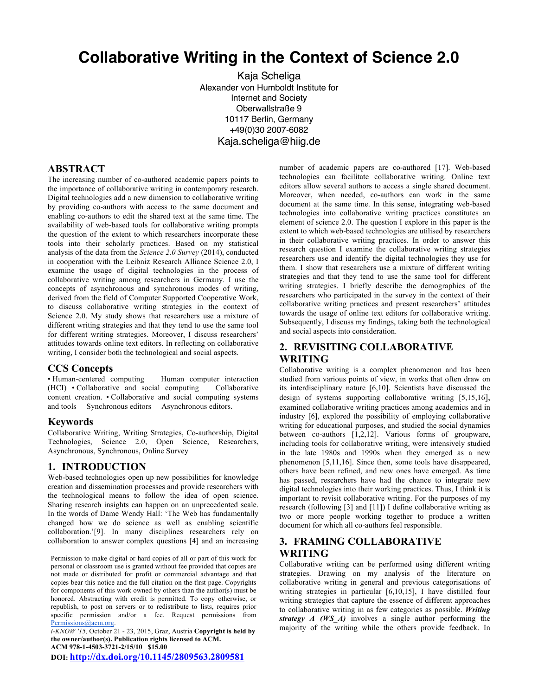# **Collaborative Writing in the Context of Science 2.0**

Kaja Scheliga Alexander von Humboldt Institute for Internet and Society Oberwallstraße 9 10117 Berlin, Germany +49(0)30 2007-6082 Kaja.scheliga@hiig.de

## **ABSTRACT**

The increasing number of co-authored academic papers points to the importance of collaborative writing in contemporary research. Digital technologies add a new dimension to collaborative writing by providing co-authors with access to the same document and enabling co-authors to edit the shared text at the same time. The availability of web-based tools for collaborative writing prompts the question of the extent to which researchers incorporate these tools into their scholarly practices. Based on my statistical analysis of the data from the *Science 2.0 Survey* (2014), conducted in cooperation with the Leibniz Research Alliance Science 2.0, I examine the usage of digital technologies in the process of collaborative writing among researchers in Germany. I use the concepts of asynchronous and synchronous modes of writing, derived from the field of Computer Supported Cooperative Work, to discuss collaborative writing strategies in the context of Science 2.0. My study shows that researchers use a mixture of different writing strategies and that they tend to use the same tool for different writing strategies. Moreover, I discuss researchers' attitudes towards online text editors. In reflecting on collaborative writing, I consider both the technological and social aspects.

## **CCS Concepts**

• Human-centered computing Human computer interaction (HCI) • Collaborative and social computing Collaborative content creation. • Collaborative and social computing systems and tools Synchronous editors Asynchronous editors.

#### **Keywords**

Collaborative Writing, Writing Strategies, Co-authorship, Digital Technologies, Science 2.0, Open Science, Researchers, Asynchronous, Synchronous, Online Survey

## **1. INTRODUCTION**

Web-based technologies open up new possibilities for knowledge creation and dissemination processes and provide researchers with the technological means to follow the idea of open science. Sharing research insights can happen on an unprecedented scale. In the words of Dame Wendy Hall: 'The Web has fundamentally changed how we do science as well as enabling scientific collaboration.'[9]. In many disciplines researchers rely on collaboration to answer complex questions [4] and an increasing

Permission to make digital or hard copies of all or part of this work for personal or classroom use is granted without fee provided that copies are not made or distributed for profit or commercial advantage and that copies bear this notice and the full citation on the first page. Copyrights for components of this work owned by others than the author(s) must be honored. Abstracting with credit is permitted. To copy otherwise, or republish, to post on servers or to redistribute to lists, requires prior specific permission and/or a fee. Request permissions from Permissions@acm.org.

*i-KNOW '15,* October 21 - 23, 2015, Graz, Austria **Copyright is held by the owner/author(s). Publication rights licensed to ACM. ACM 978-1-4503-3721-2/15/10\$15.00**

**DOI: http://dx.doi.org/10.1145/2809563.2809581**

number of academic papers are co-authored [17]. Web-based technologies can facilitate collaborative writing. Online text editors allow several authors to access a single shared document. Moreover, when needed, co-authors can work in the same document at the same time. In this sense, integrating web-based technologies into collaborative writing practices constitutes an element of science 2.0. The question I explore in this paper is the extent to which web-based technologies are utilised by researchers in their collaborative writing practices. In order to answer this research question I examine the collaborative writing strategies researchers use and identify the digital technologies they use for them. I show that researchers use a mixture of different writing strategies and that they tend to use the same tool for different writing strategies. I briefly describe the demographics of the researchers who participated in the survey in the context of their collaborative writing practices and present researchers' attitudes towards the usage of online text editors for collaborative writing. Subsequently, I discuss my findings, taking both the technological and social aspects into consideration.

## **2. REVISITING COLLABORATIVE WRITING**

Collaborative writing is a complex phenomenon and has been studied from various points of view, in works that often draw on its interdisciplinary nature [6,10]. Scientists have discussed the design of systems supporting collaborative writing [5,15,16], examined collaborative writing practices among academics and in industry [6], explored the possibility of employing collaborative writing for educational purposes, and studied the social dynamics between co-authors [1,2,12]. Various forms of groupware, including tools for collaborative writing, were intensively studied in the late 1980s and 1990s when they emerged as a new phenomenon [5,11,16]. Since then, some tools have disappeared, others have been refined, and new ones have emerged. As time has passed, researchers have had the chance to integrate new digital technologies into their working practices. Thus, I think it is important to revisit collaborative writing. For the purposes of my research (following [3] and [11]) I define collaborative writing as two or more people working together to produce a written document for which all co-authors feel responsible.

# **3. FRAMING COLLABORATIVE WRITING**

Collaborative writing can be performed using different writing strategies. Drawing on my analysis of the literature on collaborative writing in general and previous categorisations of writing strategies in particular [6,10,15], I have distilled four writing strategies that capture the essence of different approaches to collaborative writing in as few categories as possible. *Writing strategy A (WS\_A)* involves a single author performing the majority of the writing while the others provide feedback. In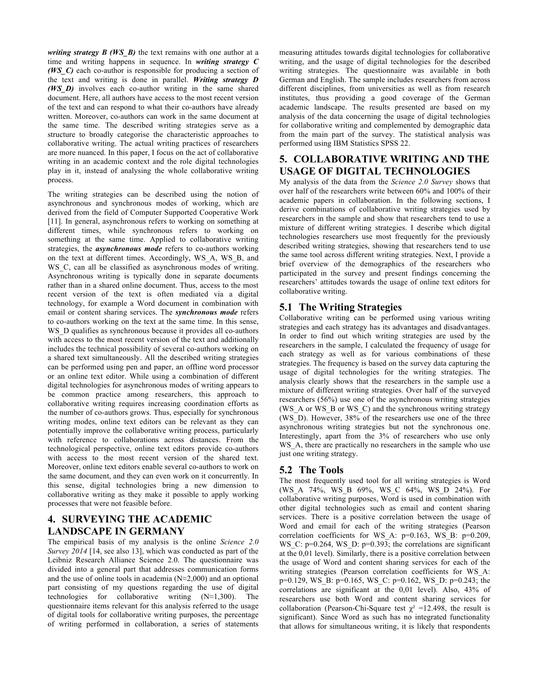*writing strategy B (WS\_B)* the text remains with one author at a time and writing happens in sequence. In *writing strategy C (WS\_C)* each co-author is responsible for producing a section of the text and writing is done in parallel. *Writing strategy D (WS\_D)* involves each co-author writing in the same shared document. Here, all authors have access to the most recent version of the text and can respond to what their co-authors have already written. Moreover, co-authors can work in the same document at the same time. The described writing strategies serve as a structure to broadly categorise the characteristic approaches to collaborative writing. The actual writing practices of researchers are more nuanced. In this paper, I focus on the act of collaborative writing in an academic context and the role digital technologies play in it, instead of analysing the whole collaborative writing process.

The writing strategies can be described using the notion of asynchronous and synchronous modes of working, which are derived from the field of Computer Supported Cooperative Work [11]. In general, asynchronous refers to working on something at different times, while synchronous refers to working on something at the same time. Applied to collaborative writing strategies, the *asynchronous mode* refers to co-authors working on the text at different times. Accordingly, WS\_A, WS\_B, and WS<sub>C</sub>, can all be classified as asynchronous modes of writing. Asynchronous writing is typically done in separate documents rather than in a shared online document. Thus, access to the most recent version of the text is often mediated via a digital technology, for example a Word document in combination with email or content sharing services. The *synchronous mode* refers to co-authors working on the text at the same time. In this sense, WS\_D qualifies as synchronous because it provides all co-authors with access to the most recent version of the text and additionally includes the technical possibility of several co-authors working on a shared text simultaneously. All the described writing strategies can be performed using pen and paper, an offline word processor or an online text editor. While using a combination of different digital technologies for asynchronous modes of writing appears to be common practice among researchers, this approach to collaborative writing requires increasing coordination efforts as the number of co-authors grows. Thus, especially for synchronous writing modes, online text editors can be relevant as they can potentially improve the collaborative writing process, particularly with reference to collaborations across distances. From the technological perspective, online text editors provide co-authors with access to the most recent version of the shared text. Moreover, online text editors enable several co-authors to work on the same document, and they can even work on it concurrently. In this sense, digital technologies bring a new dimension to collaborative writing as they make it possible to apply working processes that were not feasible before.

## **4. SURVEYING THE ACADEMIC LANDSCAPE IN GERMANY**

The empirical basis of my analysis is the online *Science 2.0 Survey 2014* [14, see also 13], which was conducted as part of the Leibniz Research Alliance Science 2.0. The questionnaire was divided into a general part that addresses communication forms and the use of online tools in academia (N≈2,000) and an optional part consisting of my questions regarding the use of digital technologies for collaborative writing (N≈1,300). The questionnaire items relevant for this analysis referred to the usage of digital tools for collaborative writing purposes, the percentage of writing performed in collaboration, a series of statements

measuring attitudes towards digital technologies for collaborative writing, and the usage of digital technologies for the described writing strategies. The questionnaire was available in both German and English. The sample includes researchers from across different disciplines, from universities as well as from research institutes, thus providing a good coverage of the German academic landscape. The results presented are based on my analysis of the data concerning the usage of digital technologies for collaborative writing and complemented by demographic data from the main part of the survey. The statistical analysis was performed using IBM Statistics SPSS 22.

# **5. COLLABORATIVE WRITING AND THE USAGE OF DIGITAL TECHNOLOGIES**

My analysis of the data from the *Science 2.0 Survey* shows that over half of the researchers write between 60% and 100% of their academic papers in collaboration. In the following sections, I derive combinations of collaborative writing strategies used by researchers in the sample and show that researchers tend to use a mixture of different writing strategies. I describe which digital technologies researchers use most frequently for the previously described writing strategies, showing that researchers tend to use the same tool across different writing strategies. Next, I provide a brief overview of the demographics of the researchers who participated in the survey and present findings concerning the researchers' attitudes towards the usage of online text editors for collaborative writing.

## **5.1 The Writing Strategies**

Collaborative writing can be performed using various writing strategies and each strategy has its advantages and disadvantages. In order to find out which writing strategies are used by the researchers in the sample, I calculated the frequency of usage for each strategy as well as for various combinations of these strategies. The frequency is based on the survey data capturing the usage of digital technologies for the writing strategies. The analysis clearly shows that the researchers in the sample use a mixture of different writing strategies. Over half of the surveyed researchers (56%) use one of the asynchronous writing strategies (WS\_A or WS\_B or WS\_C) and the synchronous writing strategy (WS\_D). However, 38% of the researchers use one of the three asynchronous writing strategies but not the synchronous one. Interestingly, apart from the 3% of researchers who use only WS A, there are practically no researchers in the sample who use just one writing strategy.

# **5.2 The Tools**

The most frequently used tool for all writing strategies is Word (WS\_A 74%, WS\_B 69%, WS\_C 64%, WS\_D 24%). For collaborative writing purposes, Word is used in combination with other digital technologies such as email and content sharing services. There is a positive correlation between the usage of Word and email for each of the writing strategies (Pearson correlation coefficients for WS\_A: p=0.163, WS\_B: p=0.209, WS C: p=0.264, WS D: p=0.393; the correlations are significant at the 0,01 level). Similarly, there is a positive correlation between the usage of Word and content sharing services for each of the writing strategies (Pearson correlation coefficients for WS\_A: p=0.129, WS\_B: p=0.165, WS\_C: p=0.162, WS\_D: p=0.243; the correlations are significant at the 0,01 level). Also, 43% of researchers use both Word and content sharing services for collaboration (Pearson-Chi-Square test  $\chi^2$  =12.498, the result is significant). Since Word as such has no integrated functionality that allows for simultaneous writing, it is likely that respondents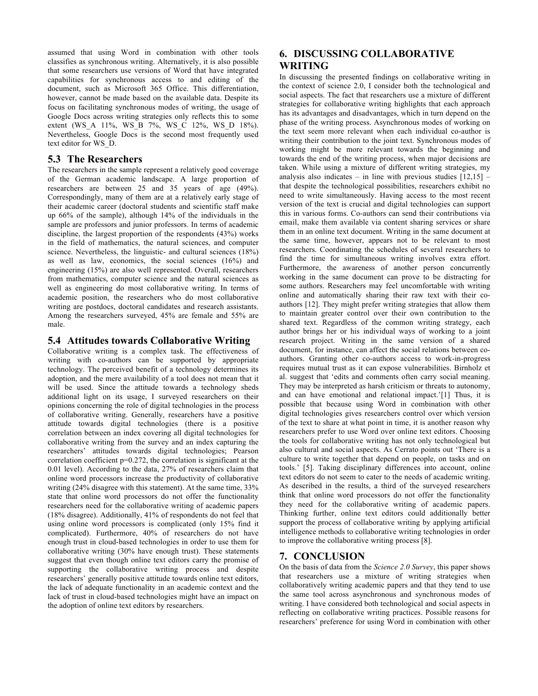assumed that using Word in combination with other tools classifies as synchronous writing. Alternatively, it is also possible that some researchers use versions of Word that have integrated capabilities for synchronous access to and editing of the document, such as Microsoft 365 Office. This differentiation, however, cannot be made based on the available data. Despite its focus on facilitating synchronous modes of writing, the usage of Google Docs across writing strategies only reflects this to some extent (WS\_A 11%, WS\_B 7%, WS\_C 12%, WS\_D 18%). Nevertheless, Google Docs is the second most frequently used text editor for WS\_D.

#### **5.3 The Researchers**

The researchers in the sample represent a relatively good coverage of the German academic landscape. A large proportion of researchers are between 25 and 35 years of age (49%). Correspondingly, many of them are at a relatively early stage of their academic career (doctoral students and scientific staff make up 66% of the sample), although 14% of the individuals in the sample are professors and junior professors. In terms of academic discipline, the largest proportion of the respondents (43%) works in the field of mathematics, the natural sciences, and computer science. Nevertheless, the linguistic- and cultural sciences (18%) as well as law, economics, the social sciences (16%) and engineering (15%) are also well represented. Overall, researchers from mathematics, computer science and the natural sciences as well as engineering do most collaborative writing. In terms of academic position, the researchers who do most collaborative writing are postdocs, doctoral candidates and research assistants. Among the researchers surveyed, 45% are female and 55% are male.

#### **5.4 Attitudes towards Collaborative Writing**

Collaborative writing is a complex task. The effectiveness of writing with co-authors can be supported by appropriate technology. The perceived benefit of a technology determines its adoption, and the mere availability of a tool does not mean that it will be used. Since the attitude towards a technology sheds additional light on its usage, I surveyed researchers on their opinions concerning the role of digital technologies in the process of collaborative writing. Generally, researchers have a positive attitude towards digital technologies (there is a positive correlation between an index covering all digital technologies for collaborative writing from the survey and an index capturing the researchers' attitudes towards digital technologies; Pearson correlation coefficient p=0.272, the correlation is significant at the 0.01 level). According to the data, 27% of researchers claim that online word processors increase the productivity of collaborative writing (24% disagree with this statement). At the same time, 33% state that online word processors do not offer the functionality researchers need for the collaborative writing of academic papers (18% disagree). Additionally, 41% of respondents do not feel that using online word processors is complicated (only 15% find it complicated). Furthermore, 40% of researchers do not have enough trust in cloud-based technologies in order to use them for collaborative writing (30% have enough trust). These statements suggest that even though online text editors carry the promise of supporting the collaborative writing process and despite researchers' generally positive attitude towards online text editors, the lack of adequate functionality in an academic context and the lack of trust in cloud-based technologies might have an impact on the adoption of online text editors by researchers.

# **6. DISCUSSING COLLABORATIVE WRITING**

In discussing the presented findings on collaborative writing in the context of science 2.0, I consider both the technological and social aspects. The fact that researchers use a mixture of different strategies for collaborative writing highlights that each approach has its advantages and disadvantages, which in turn depend on the phase of the writing process. Asynchronous modes of working on the text seem more relevant when each individual co-author is writing their contribution to the joint text. Synchronous modes of working might be more relevant towards the beginning and towards the end of the writing process, when major decisions are taken. While using a mixture of different writing strategies, my analysis also indicates – in line with previous studies  $[12,15]$  – that despite the technological possibilities, researchers exhibit no need to write simultaneously. Having access to the most recent version of the text is crucial and digital technologies can support this in various forms. Co-authors can send their contributions via email, make them available via content sharing services or share them in an online text document. Writing in the same document at the same time, however, appears not to be relevant to most researchers. Coordinating the schedules of several researchers to find the time for simultaneous writing involves extra effort. Furthermore, the awareness of another person concurrently working in the same document can prove to be distracting for some authors. Researchers may feel uncomfortable with writing online and automatically sharing their raw text with their coauthors [12]. They might prefer writing strategies that allow them to maintain greater control over their own contribution to the shared text. Regardless of the common writing strategy, each author brings her or his individual ways of working to a joint research project. Writing in the same version of a shared document, for instance, can affect the social relations between coauthors. Granting other co-authors access to work-in-progress requires mutual trust as it can expose vulnerabilities. Birnholz et al. suggest that 'edits and comments often carry social meaning. They may be interpreted as harsh criticism or threats to autonomy, and can have emotional and relational impact.'[1] Thus, it is possible that because using Word in combination with other digital technologies gives researchers control over which version of the text to share at what point in time, it is another reason why researchers prefer to use Word over online text editors. Choosing the tools for collaborative writing has not only technological but also cultural and social aspects. As Cerrato points out 'There is a culture to write together that depend on people, on tasks and on tools.' [5]. Taking disciplinary differences into account, online text editors do not seem to cater to the needs of academic writing. As described in the results, a third of the surveyed researchers think that online word processors do not offer the functionality they need for the collaborative writing of academic papers. Thinking further, online text editors could additionally better support the process of collaborative writing by applying artificial intelligence methods to collaborative writing technologies in order to improve the collaborative writing process [8].

## **7. CONCLUSION**

On the basis of data from the *Science 2.0 Survey*, this paper shows that researchers use a mixture of writing strategies when collaboratively writing academic papers and that they tend to use the same tool across asynchronous and synchronous modes of writing. I have considered both technological and social aspects in reflecting on collaborative writing practices. Possible reasons for researchers' preference for using Word in combination with other